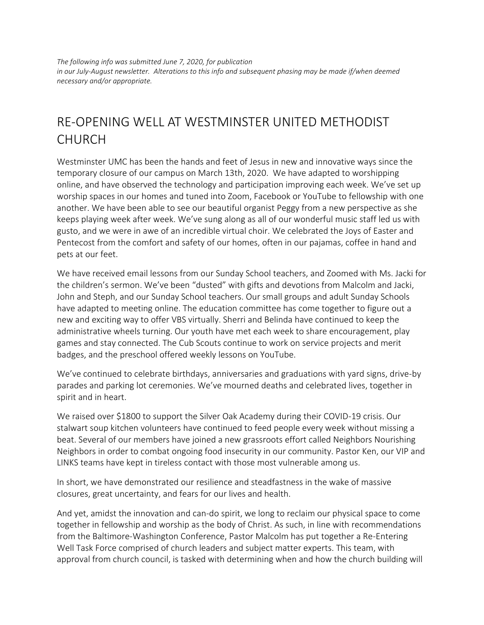*The following info was submitted June 7, 2020, for publication in our July-August newsletter. Alterations to this info and subsequent phasing may be made if/when deemed necessary and/or appropriate.*

## RE-OPENING WELL AT WESTMINSTER UNITED METHODIST CHURCH

Westminster UMC has been the hands and feet of Jesus in new and innovative ways since the temporary closure of our campus on March 13th, 2020. We have adapted to worshipping online, and have observed the technology and participation improving each week. We've set up worship spaces in our homes and tuned into Zoom, Facebook or YouTube to fellowship with one another. We have been able to see our beautiful organist Peggy from a new perspective as she keeps playing week after week. We've sung along as all of our wonderful music staff led us with gusto, and we were in awe of an incredible virtual choir. We celebrated the Joys of Easter and Pentecost from the comfort and safety of our homes, often in our pajamas, coffee in hand and pets at our feet.

We have received email lessons from our Sunday School teachers, and Zoomed with Ms. Jacki for the children's sermon. We've been "dusted" with gifts and devotions from Malcolm and Jacki, John and Steph, and our Sunday School teachers. Our small groups and adult Sunday Schools have adapted to meeting online. The education committee has come together to figure out a new and exciting way to offer VBS virtually. Sherri and Belinda have continued to keep the administrative wheels turning. Our youth have met each week to share encouragement, play games and stay connected. The Cub Scouts continue to work on service projects and merit badges, and the preschool offered weekly lessons on YouTube.

We've continued to celebrate birthdays, anniversaries and graduations with yard signs, drive-by parades and parking lot ceremonies. We've mourned deaths and celebrated lives, together in spirit and in heart.

We raised over \$1800 to support the Silver Oak Academy during their COVID-19 crisis. Our stalwart soup kitchen volunteers have continued to feed people every week without missing a beat. Several of our members have joined a new grassroots effort called Neighbors Nourishing Neighbors in order to combat ongoing food insecurity in our community. Pastor Ken, our VIP and LINKS teams have kept in tireless contact with those most vulnerable among us.

In short, we have demonstrated our resilience and steadfastness in the wake of massive closures, great uncertainty, and fears for our lives and health.

And yet, amidst the innovation and can-do spirit, we long to reclaim our physical space to come together in fellowship and worship as the body of Christ. As such, in line with recommendations from the Baltimore-Washington Conference, Pastor Malcolm has put together a Re-Entering Well Task Force comprised of church leaders and subject matter experts. This team, with approval from church council, is tasked with determining when and how the church building will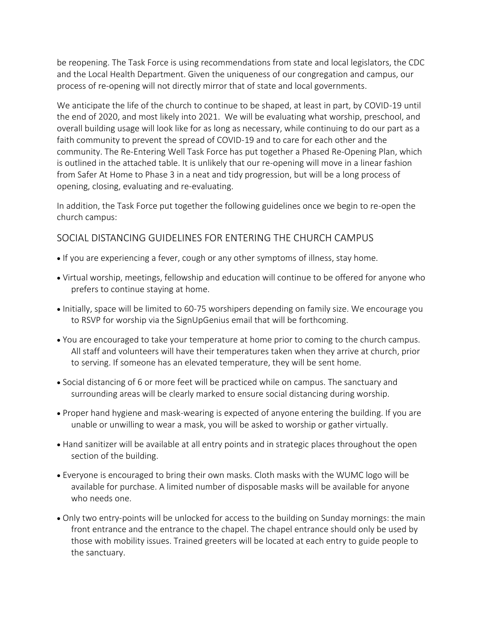be reopening. The Task Force is using recommendations from state and local legislators, the CDC and the Local Health Department. Given the uniqueness of our congregation and campus, our process of re-opening will not directly mirror that of state and local governments.

We anticipate the life of the church to continue to be shaped, at least in part, by COVID-19 until the end of 2020, and most likely into 2021. We will be evaluating what worship, preschool, and overall building usage will look like for as long as necessary, while continuing to do our part as a faith community to prevent the spread of COVID-19 and to care for each other and the community. The Re-Entering Well Task Force has put together a Phased Re-Opening Plan, which is outlined in the attached table. It is unlikely that our re-opening will move in a linear fashion from Safer At Home to Phase 3 in a neat and tidy progression, but will be a long process of opening, closing, evaluating and re-evaluating.

In addition, the Task Force put together the following guidelines once we begin to re-open the church campus:

## SOCIAL DISTANCING GUIDELINES FOR ENTERING THE CHURCH CAMPUS

- If you are experiencing a fever, cough or any other symptoms of illness, stay home.
- Virtual worship, meetings, fellowship and education will continue to be offered for anyone who prefers to continue staying at home.
- Initially, space will be limited to 60-75 worshipers depending on family size. We encourage you to RSVP for worship via the SignUpGenius email that will be forthcoming.
- You are encouraged to take your temperature at home prior to coming to the church campus. All staff and volunteers will have their temperatures taken when they arrive at church, prior to serving. If someone has an elevated temperature, they will be sent home.
- Social distancing of 6 or more feet will be practiced while on campus. The sanctuary and surrounding areas will be clearly marked to ensure social distancing during worship.
- Proper hand hygiene and mask-wearing is expected of anyone entering the building. If you are unable or unwilling to wear a mask, you will be asked to worship or gather virtually.
- Hand sanitizer will be available at all entry points and in strategic places throughout the open section of the building.
- Everyone is encouraged to bring their own masks. Cloth masks with the WUMC logo will be available for purchase. A limited number of disposable masks will be available for anyone who needs one.
- Only two entry-points will be unlocked for access to the building on Sunday mornings: the main front entrance and the entrance to the chapel. The chapel entrance should only be used by those with mobility issues. Trained greeters will be located at each entry to guide people to the sanctuary.